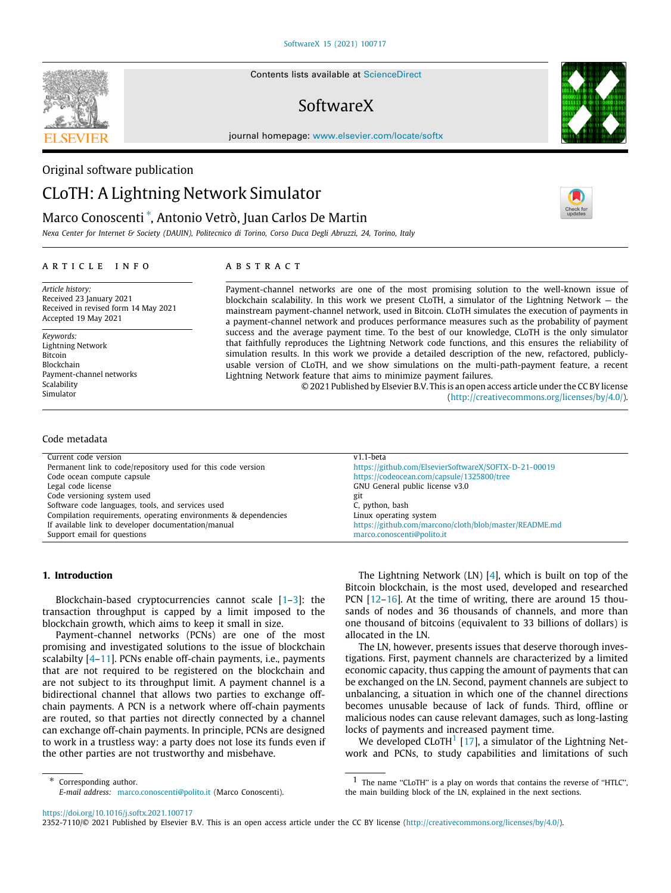Contents lists available at [ScienceDirect](http://www.elsevier.com/locate/softx)

# SoftwareX

journal homepage: [www.elsevier.com/locate/softx](http://www.elsevier.com/locate/softx)

# Original software publication

# CLoTH: A Lightning Network Simulator

# Marco Conoscenti [∗](#page-0-0) , Antonio Vetrò, Juan Carlos De Martin

*Nexa Center for Internet & Society (DAUIN), Politecnico di Torino, Corso Duca Degli Abruzzi, 24, Torino, Italy*

# ARTICLE INFO

*Article history:* Received 23 January 2021 Received in revised form 14 May 2021 Accepted 19 May 2021

Permanent link to code/repository used for this code version

Code versioning system used gitarration of the state gitarration of the state gitarration of the state gitarration of the state gitarration of the state gitarration of the state gitarration of the state gitarration of the

Blockchain-based cryptocurrencies cannot scale  $[1-3]$  $[1-3]$ : the transaction throughput is capped by a limit imposed to the

Payment-channel networks (PCNs) are one of the most promising and investigated solutions to the issue of blockchain scalabilty [\[4](#page-9-1)[–11\]](#page-9-2). PCNs enable off-chain payments, i.e., payments that are not required to be registered on the blockchain and are not subject to its throughput limit. A payment channel is a bidirectional channel that allows two parties to exchange offchain payments. A PCN is a network where off-chain payments are routed, so that parties not directly connected by a channel can exchange off-chain payments. In principle, PCNs are designed to work in a trustless way: a party does not lose its funds even if

blockchain growth, which aims to keep it small in size.

the other parties are not trustworthy and misbehave.

*E-mail address:* [marco.conoscenti@polito.it](mailto:marco.conoscenti@polito.it) (Marco Conoscenti).

Software code languages, tools, and services used **C**, python, bash Compilation requirements, operating environments & dependencies Linux operating system

*Keywords:* Lightning Network Bitcoin Blockchain Payment-channel networks **Scalability** Simulator

# Code metadata

**1. Introduction**

Current code version<br>
Permanent link to code/repository used for this code version<br>
Permanent link to code/repository used for this code version<br>
Permanent link to code/repository used for this code version<br>
Attps://github

If available link to developer documentation/manual <https://github.com/marcono/cloth/blob/master/README.md>

Code ocean compute capsule <https://codeocean.com/capsule/1325800/tree>

Legal code license GNU General public license v3.0

Support email for questions matco.conoscenti@polito.it

a b s t r a c t

Payment-channel networks are one of the most promising solution to the well-known issue of blockchain scalability. In this work we present CLoTH, a simulator of the Lightning Network — the mainstream payment-channel network, used in Bitcoin. CLoTH simulates the execution of payments in a payment-channel network and produces performance measures such as the probability of payment success and the average payment time. To the best of our knowledge, CLoTH is the only simulator that faithfully reproduces the Lightning Network code functions, and this ensures the reliability of simulation results. In this work we provide a detailed description of the new, refactored, publiclyusable version of CLoTH, and we show simulations on the multi-path-payment feature, a recent Lightning Network feature that aims to minimize payment failures.

© 2021 Published by Elsevier B.V. This is an open access article under the CC BY license [\(http://creativecommons.org/licenses/by/4.0/](http://creativecommons.org/licenses/by/4.0/)).

> The Lightning Network (LN) [[4\]](#page-9-1), which is built on top of the Bitcoin blockchain, is the most used, developed and researched PCN [[12](#page-9-3)[–16\]](#page-9-4). At the time of writing, there are around 15 thousands of nodes and 36 thousands of channels, and more than one thousand of bitcoins (equivalent to 33 billions of dollars) is allocated in the LN.

> The LN, however, presents issues that deserve thorough investigations. First, payment channels are characterized by a limited economic capacity, thus capping the amount of payments that can be exchanged on the LN. Second, payment channels are subject to unbalancing, a situation in which one of the channel directions becomes unusable because of lack of funds. Third, offline or malicious nodes can cause relevant damages, such as long-lasting locks of payments and increased payment time.

> <span id="page-0-1"></span>We developed  $CLoTH<sup>1</sup>$  $CLoTH<sup>1</sup>$  $CLoTH<sup>1</sup>$  [[17](#page-9-5)], a simulator of the Lightning Network and PCNs, to study capabilities and limitations of such

<sup>1</sup> The name "CLoTH" is a play on words that contains the reverse of "HTLC", the main building block of the LN, explained in the next sections.

<https://doi.org/10.1016/j.softx.2021.100717>

<span id="page-0-0"></span>Corresponding author.

2352-7110/© 2021 Published by Elsevier B.V. This is an open access article under the CC BY license ([http://creativecommons.org/licenses/by/4.0/\)](http://creativecommons.org/licenses/by/4.0/).

SEVIER



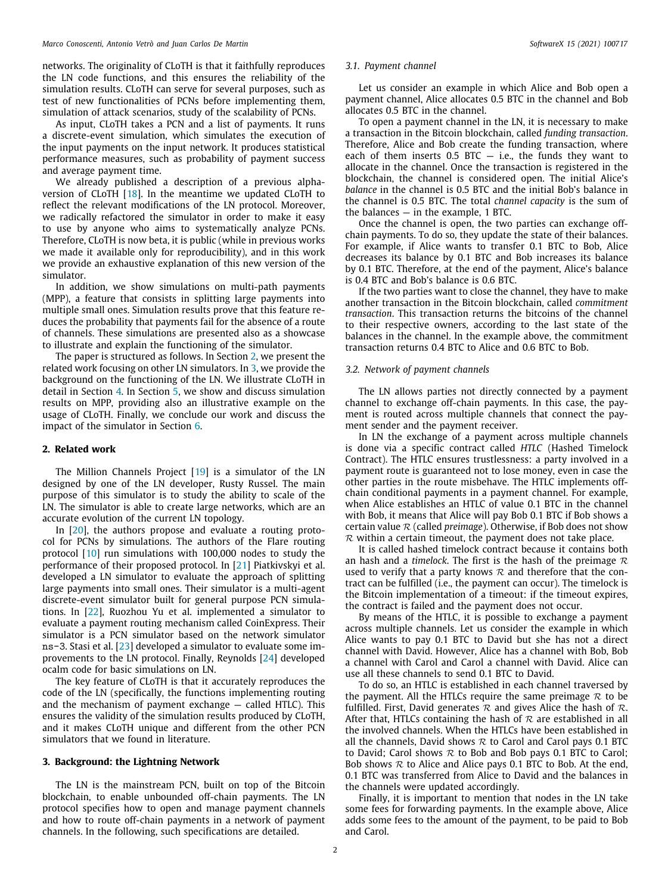networks. The originality of CLoTH is that it faithfully reproduces the LN code functions, and this ensures the reliability of the simulation results. CLoTH can serve for several purposes, such as test of new functionalities of PCNs before implementing them, simulation of attack scenarios, study of the scalability of PCNs.

As input, CLoTH takes a PCN and a list of payments. It runs a discrete-event simulation, which simulates the execution of the input payments on the input network. It produces statistical performance measures, such as probability of payment success and average payment time.

We already published a description of a previous alphaversion of CLoTH [\[18](#page-9-6)]. In the meantime we updated CLoTH to reflect the relevant modifications of the LN protocol. Moreover, we radically refactored the simulator in order to make it easy to use by anyone who aims to systematically analyze PCNs. Therefore, CLoTH is now beta, it is public (while in previous works we made it available only for reproducibility), and in this work we provide an exhaustive explanation of this new version of the simulator.

In addition, we show simulations on multi-path payments (MPP), a feature that consists in splitting large payments into multiple small ones. Simulation results prove that this feature reduces the probability that payments fail for the absence of a route of channels. These simulations are presented also as a showcase to illustrate and explain the functioning of the simulator.

The paper is structured as follows. In Section [2](#page-1-0), we present the related work focusing on other LN simulators. In [3,](#page-1-1) we provide the background on the functioning of the LN. We illustrate CLoTH in detail in Section [4.](#page-2-0) In Section [5](#page-5-0), we show and discuss simulation results on MPP, providing also an illustrative example on the usage of CLoTH. Finally, we conclude our work and discuss the impact of the simulator in Section [6.](#page-6-0)

## **2. Related work**

<span id="page-1-0"></span>The Million Channels Project [[19](#page-9-7)] is a simulator of the LN designed by one of the LN developer, Rusty Russel. The main purpose of this simulator is to study the ability to scale of the LN. The simulator is able to create large networks, which are an accurate evolution of the current LN topology.

In [\[20](#page-9-8)], the authors propose and evaluate a routing protocol for PCNs by simulations. The authors of the Flare routing protocol [\[10\]](#page-9-9) run simulations with 100,000 nodes to study the performance of their proposed protocol. In [[21](#page-9-10)] Piatkivskyi et al. developed a LN simulator to evaluate the approach of splitting large payments into small ones. Their simulator is a multi-agent discrete-event simulator built for general purpose PCN simulations. In [\[22\]](#page-9-11), Ruozhou Yu et al. implemented a simulator to evaluate a payment routing mechanism called CoinExpress. Their simulator is a PCN simulator based on the network simulator ns-3. Stasi et al. [[23](#page-9-12)] developed a simulator to evaluate some improvements to the LN protocol. Finally, Reynolds [[24](#page-9-13)] developed ocalm code for basic simulations on LN.

The key feature of CLoTH is that it accurately reproduces the code of the LN (specifically, the functions implementing routing and the mechanism of payment exchange — called HTLC). This ensures the validity of the simulation results produced by CLoTH, and it makes CLoTH unique and different from the other PCN simulators that we found in literature.

#### **3. Background: the Lightning Network**

<span id="page-1-1"></span>The LN is the mainstream PCN, built on top of the Bitcoin blockchain, to enable unbounded off-chain payments. The LN protocol specifies how to open and manage payment channels and how to route off-chain payments in a network of payment channels. In the following, such specifications are detailed.

#### *3.1. Payment channel*

Let us consider an example in which Alice and Bob open a payment channel, Alice allocates 0.5 BTC in the channel and Bob allocates 0.5 BTC in the channel.

To open a payment channel in the LN, it is necessary to make a transaction in the Bitcoin blockchain, called *funding transaction*. Therefore, Alice and Bob create the funding transaction, where each of them inserts  $0.5$  BTC  $-$  i.e., the funds they want to allocate in the channel. Once the transaction is registered in the blockchain, the channel is considered open. The initial Alice's *balance* in the channel is 0.5 BTC and the initial Bob's balance in the channel is 0.5 BTC. The total *channel capacity* is the sum of the balances  $-$  in the example, 1 BTC.

Once the channel is open, the two parties can exchange offchain payments. To do so, they update the state of their balances. For example, if Alice wants to transfer 0.1 BTC to Bob, Alice decreases its balance by 0.1 BTC and Bob increases its balance by 0.1 BTC. Therefore, at the end of the payment, Alice's balance is 0.4 BTC and Bob's balance is 0.6 BTC.

If the two parties want to close the channel, they have to make another transaction in the Bitcoin blockchain, called *commitment transaction*. This transaction returns the bitcoins of the channel to their respective owners, according to the last state of the balances in the channel. In the example above, the commitment transaction returns 0.4 BTC to Alice and 0.6 BTC to Bob.

#### *3.2. Network of payment channels*

The LN allows parties not directly connected by a payment channel to exchange off-chain payments. In this case, the payment is routed across multiple channels that connect the payment sender and the payment receiver.

In LN the exchange of a payment across multiple channels is done via a specific contract called *HTLC* (Hashed Timelock Contract). The HTLC ensures trustlessness: a party involved in a payment route is guaranteed not to lose money, even in case the other parties in the route misbehave. The HTLC implements offchain conditional payments in a payment channel. For example, when Alice establishes an HTLC of value 0.1 BTC in the channel with Bob, it means that Alice will pay Bob 0.1 BTC if Bob shows a certain value  $R$  (called *preimage*). Otherwise, if Bob does not show  $R$  within a certain timeout, the payment does not take place.

It is called hashed timelock contract because it contains both an hash and a *timelock*. The first is the hash of the preimage  $\mathcal R$ used to verify that a party knows  $R$  and therefore that the contract can be fulfilled (i.e., the payment can occur). The timelock is the Bitcoin implementation of a timeout: if the timeout expires, the contract is failed and the payment does not occur.

By means of the HTLC, it is possible to exchange a payment across multiple channels. Let us consider the example in which Alice wants to pay 0.1 BTC to David but she has not a direct channel with David. However, Alice has a channel with Bob, Bob a channel with Carol and Carol a channel with David. Alice can use all these channels to send 0.1 BTC to David.

To do so, an HTLC is established in each channel traversed by the payment. All the HTLCs require the same preimage  $\mathcal R$  to be fulfilled. First, David generates  $R$  and gives Alice the hash of  $R$ . After that, HTLCs containing the hash of  $R$  are established in all the involved channels. When the HTLCs have been established in all the channels, David shows  $R$  to Carol and Carol pays 0.1 BTC to David; Carol shows  $R$  to Bob and Bob pays 0.1 BTC to Carol; Bob shows  $R$  to Alice and Alice pays 0.1 BTC to Bob. At the end, 0.1 BTC was transferred from Alice to David and the balances in the channels were updated accordingly.

Finally, it is important to mention that nodes in the LN take some fees for forwarding payments. In the example above, Alice adds some fees to the amount of the payment, to be paid to Bob and Carol.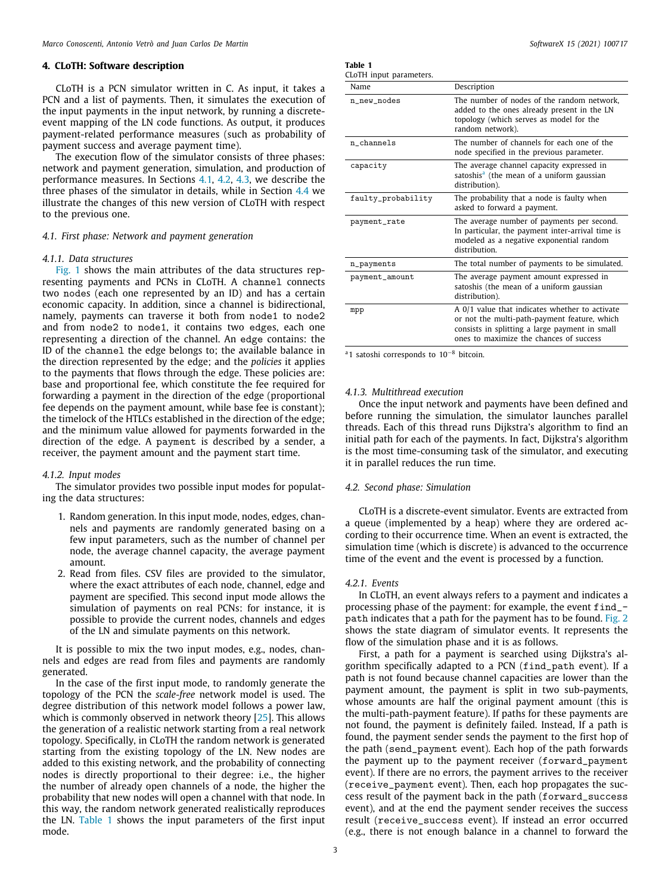#### **4. CLoTH: Software description**

<span id="page-2-0"></span>CLoTH is a PCN simulator written in C. As input, it takes a PCN and a list of payments. Then, it simulates the execution of the input payments in the input network, by running a discreteevent mapping of the LN code functions. As output, it produces payment-related performance measures (such as probability of payment success and average payment time).

The execution flow of the simulator consists of three phases: network and payment generation, simulation, and production of performance measures. In Sections [4.1](#page-2-1), [4.2,](#page-2-2) [4.3](#page-3-0), we describe the three phases of the simulator in details, while in Section [4.4](#page-3-1) we illustrate the changes of this new version of CLoTH with respect to the previous one.

#### *4.1. First phase: Network and payment generation*

#### <span id="page-2-1"></span>*4.1.1. Data structures*

<span id="page-2-5"></span>[Fig.](#page-3-2) [1](#page-3-2) shows the main attributes of the data structures representing payments and PCNs in CLoTH. A channel connects two nodes (each one represented by an ID) and has a certain economic capacity. In addition, since a channel is bidirectional, namely, payments can traverse it both from node1 to node2 and from node2 to node1, it contains two edges, each one representing a direction of the channel. An edge contains: the ID of the channel the edge belongs to; the available balance in the direction represented by the edge; and the *policies* it applies to the payments that flows through the edge. These policies are: base and proportional fee, which constitute the fee required for forwarding a payment in the direction of the edge (proportional fee depends on the payment amount, while base fee is constant); the timelock of the HTLCs established in the direction of the edge; and the minimum value allowed for payments forwarded in the direction of the edge. A payment is described by a sender, a receiver, the payment amount and the payment start time.

#### *4.1.2. Input modes*

The simulator provides two possible input modes for populating the data structures:

- 1. Random generation. In this input mode, nodes, edges, channels and payments are randomly generated basing on a few input parameters, such as the number of channel per node, the average channel capacity, the average payment amount.
- 2. Read from files. CSV files are provided to the simulator, where the exact attributes of each node, channel, edge and payment are specified. This second input mode allows the simulation of payments on real PCNs: for instance, it is possible to provide the current nodes, channels and edges of the LN and simulate payments on this network.

It is possible to mix the two input modes, e.g., nodes, channels and edges are read from files and payments are randomly generated.

In the case of the first input mode, to randomly generate the topology of the PCN the *scale-free* network model is used. The degree distribution of this network model follows a power law, which is commonly observed in network theory [\[25](#page-9-14)]. This allows the generation of a realistic network starting from a real network topology. Specifically, in CLoTH the random network is generated starting from the existing topology of the LN. New nodes are added to this existing network, and the probability of connecting nodes is directly proportional to their degree: i.e., the higher the number of already open channels of a node, the higher the probability that new nodes will open a channel with that node. In this way, the random network generated realistically reproduces the LN. [Table](#page-2-3) [1](#page-2-3) shows the input parameters of the first input mode.

<span id="page-2-3"></span>

| Table 1 |                        |
|---------|------------------------|
|         | CLoTH innut narameters |

| CLOTIT MIDUL DATAMICICIS. |                                                                                                                                                                                             |
|---------------------------|---------------------------------------------------------------------------------------------------------------------------------------------------------------------------------------------|
| Name                      | Description                                                                                                                                                                                 |
| n_new_nodes               | The number of nodes of the random network,<br>added to the ones already present in the LN<br>topology (which serves as model for the<br>random network).                                    |
| n channels                | The number of channels for each one of the<br>node specified in the previous parameter.                                                                                                     |
| capacity                  | The average channel capacity expressed in<br>satoshis <sup>a</sup> (the mean of a uniform gaussian<br>distribution).                                                                        |
| faulty_probability        | The probability that a node is faulty when<br>asked to forward a payment.                                                                                                                   |
| payment_rate              | The average number of payments per second.<br>In particular, the payment inter-arrival time is<br>modeled as a negative exponential random<br>distribution.                                 |
| n_payments                | The total number of payments to be simulated.                                                                                                                                               |
| payment_amount            | The average payment amount expressed in<br>satoshis (the mean of a uniform gaussian<br>distribution).                                                                                       |
| mpp                       | A 0/1 value that indicates whether to activate<br>or not the multi-path-payment feature, which<br>consists in splitting a large payment in small<br>ones to maximize the chances of success |

<span id="page-2-4"></span><sup>a</sup>1 satoshi corresponds to 10−<sup>8</sup> bitcoin.

#### *4.1.3. Multithread execution*

Once the input network and payments have been defined and before running the simulation, the simulator launches parallel threads. Each of this thread runs Dijkstra's algorithm to find an initial path for each of the payments. In fact, Dijkstra's algorithm is the most time-consuming task of the simulator, and executing it in parallel reduces the run time.

#### *4.2. Second phase: Simulation*

<span id="page-2-2"></span>CLoTH is a discrete-event simulator. Events are extracted from a queue (implemented by a heap) where they are ordered according to their occurrence time. When an event is extracted, the simulation time (which is discrete) is advanced to the occurrence time of the event and the event is processed by a function.

#### *4.2.1. Events*

In CLoTH, an event always refers to a payment and indicates a processing phase of the payment: for example, the event find\_ path indicates that a path for the payment has to be found. [Fig.](#page-3-3) [2](#page-3-3) shows the state diagram of simulator events. It represents the flow of the simulation phase and it is as follows.

First, a path for a payment is searched using Dijkstra's algorithm specifically adapted to a PCN (find\_path event). If a path is not found because channel capacities are lower than the payment amount, the payment is split in two sub-payments, whose amounts are half the original payment amount (this is the multi-path-payment feature). If paths for these payments are not found, the payment is definitely failed. Instead, If a path is found, the payment sender sends the payment to the first hop of the path (send\_payment event). Each hop of the path forwards the payment up to the payment receiver (forward\_payment event). If there are no errors, the payment arrives to the receiver (receive\_payment event). Then, each hop propagates the success result of the payment back in the path (forward\_success event), and at the end the payment sender receives the success result (receive\_success event). If instead an error occurred (e.g., there is not enough balance in a channel to forward the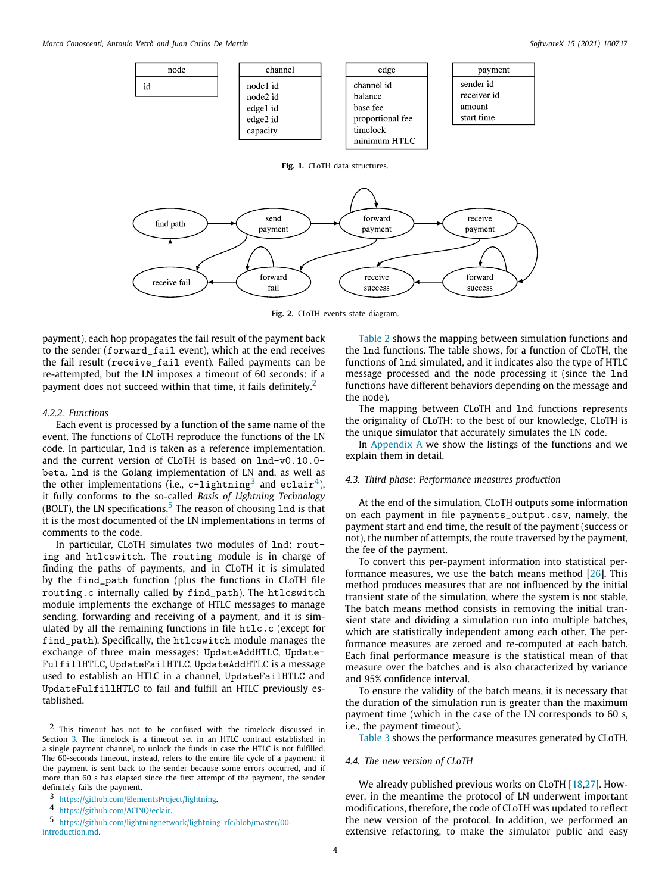<span id="page-3-2"></span>

**Fig. 2.** CLoTH events state diagram.

<span id="page-3-3"></span>payment), each hop propagates the fail result of the payment back to the sender (forward\_fail event), which at the end receives the fail result (receive\_fail event). Failed payments can be re-attempted, but the LN imposes a timeout of 60 seconds: if a payment does not succeed within that time, it fails definitely.<sup>[2](#page-3-4)</sup>

#### *4.2.2. Functions*

Each event is processed by a function of the same name of the event. The functions of CLoTH reproduce the functions of the LN code. In particular, lnd is taken as a reference implementation, and the current version of CLoTH is based on lnd-v0.10.0 beta. lnd is the Golang implementation of LN and, as well as the other implementations (i.e., c-lightning $^3$  $^3$  and eclair $^4$  $^4$ ), it fully conforms to the so-called *Basis of Lightning Technology* (BOLT), the LN specifications.<sup>[5](#page-3-7)</sup> The reason of choosing  $Ind$  is that it is the most documented of the LN implementations in terms of comments to the code.

<span id="page-3-7"></span>In particular, CLoTH simulates two modules of lnd: routing and htlcswitch. The routing module is in charge of finding the paths of payments, and in CLoTH it is simulated by the find\_path function (plus the functions in CLoTH file routing.c internally called by find\_path). The htlcswitch module implements the exchange of HTLC messages to manage sending, forwarding and receiving of a payment, and it is simulated by all the remaining functions in file htlc.c (except for find\_path). Specifically, the htlcswitch module manages the exchange of three main messages: UpdateAddHTLC, Update-FulfillHTLC, UpdateFailHTLC. UpdateAddHTLC is a message used to establish an HTLC in a channel, UpdateFailHTLC and UpdateFulfillHTLC to fail and fulfill an HTLC previously established.

[Table](#page-4-0) [2](#page-4-0) shows the mapping between simulation functions and the lnd functions. The table shows, for a function of CLoTH, the functions of lnd simulated, and it indicates also the type of HTLC message processed and the node processing it (since the lnd functions have different behaviors depending on the message and the node).

<span id="page-3-4"></span>The mapping between CLoTH and lnd functions represents the originality of CLoTH: to the best of our knowledge, CLoTH is the unique simulator that accurately simulates the LN code.

In [Appendix](#page-6-1) [A](#page-6-1) we show the listings of the functions and we explain them in detail.

# <span id="page-3-6"></span>*4.3. Third phase: Performance measures production*

<span id="page-3-5"></span><span id="page-3-0"></span>At the end of the simulation, CLoTH outputs some information on each payment in file payments\_output.csv, namely, the payment start and end time, the result of the payment (success or not), the number of attempts, the route traversed by the payment, the fee of the payment.

To convert this per-payment information into statistical performance measures, we use the batch means method [[26\]](#page-9-15). This method produces measures that are not influenced by the initial transient state of the simulation, where the system is not stable. The batch means method consists in removing the initial transient state and dividing a simulation run into multiple batches, which are statistically independent among each other. The performance measures are zeroed and re-computed at each batch. Each final performance measure is the statistical mean of that measure over the batches and is also characterized by variance and 95% confidence interval.

To ensure the validity of the batch means, it is necessary that the duration of the simulation run is greater than the maximum payment time (which in the case of the LN corresponds to 60 s, i.e., the payment timeout).

[Table](#page-4-1) [3](#page-4-1) shows the performance measures generated by CLoTH.

### *4.4. The new version of CLoTH*

<span id="page-3-1"></span>We already published previous works on CLoTH [[18](#page-9-6)[,27\]](#page-9-16). However, in the meantime the protocol of LN underwent important modifications, therefore, the code of CLoTH was updated to reflect the new version of the protocol. In addition, we performed an extensive refactoring, to make the simulator public and easy

<sup>2</sup> This timeout has not to be confused with the timelock discussed in Section [3.](#page-1-1) The timelock is a timeout set in an HTLC contract established in a single payment channel, to unlock the funds in case the HTLC is not fulfilled. The 60-seconds timeout, instead, refers to the entire life cycle of a payment: if the payment is sent back to the sender because some errors occurred, and if more than 60 s has elapsed since the first attempt of the payment, the sender definitely fails the payment.

<sup>3</sup> <https://github.com/ElementsProject/lightning>.

<sup>4</sup> [https://github.com/ACINQ/eclair.](https://github.com/ACINQ/eclair)

<sup>5</sup> [https://github.com/lightningnetwork/lightning-rfc/blob/master/00](https://github.com/lightningnetwork/lightning-rfc/blob/master/00-introduction.md) [introduction.md.](https://github.com/lightningnetwork/lightning-rfc/blob/master/00-introduction.md)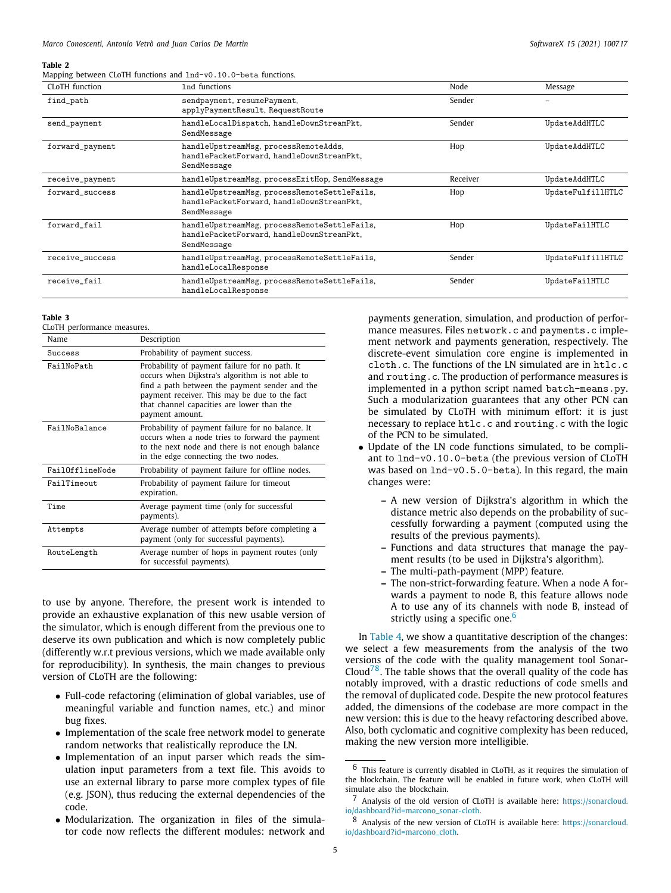#### **Table 2**

<span id="page-4-0"></span>

|  |  |  |  |  |  |  |  | Mapping between CLoTH functions and 1nd-v0.10.0-beta functions. |
|--|--|--|--|--|--|--|--|-----------------------------------------------------------------|
|--|--|--|--|--|--|--|--|-----------------------------------------------------------------|

| CLoTH function  | 1nd functions                                                                                            | Node     | Message           |
|-----------------|----------------------------------------------------------------------------------------------------------|----------|-------------------|
| find_path       | sendpayment, resumePayment,<br>applyPaymentResult, RequestRoute                                          | Sender   |                   |
| send_payment    | handleLocalDispatch, handleDownStreamPkt,<br>SendMessage                                                 | Sender   | UpdateAddHTLC     |
| forward_payment | handleUpstreamMsg, processRemoteAdds,<br>handlePacketForward, handleDownStreamPkt,<br>SendMessage        | Hop      | UpdateAddHTLC     |
| receive_payment | handleUpstreamMsg, processExitHop, SendMessage                                                           | Receiver | UpdateAddHTLC     |
| forward success | handleUpstreamMsg, processRemoteSettleFails,<br>handlePacketForward, handleDownStreamPkt.<br>SendMessage | Hop      | UpdateFulfillHTLC |
| forward fail    | handleUpstreamMsg, processRemoteSettleFails,<br>handlePacketForward, handleDownStreamPkt,<br>SendMessage | Hop      | UpdateFailHTLC    |
| receive_success | handleUpstreamMsg, processRemoteSettleFails,<br>handleLocalResponse                                      | Sender   | UpdateFulfillHTLC |
| receive_fail    | handleUpstreamMsg, processRemoteSettleFails,<br>handleLocalResponse                                      | Sender   | UpdateFailHTLC    |
|                 |                                                                                                          |          |                   |

#### **Table 3**

<span id="page-4-1"></span>CLoTH performance measures.

| Name            | Description                                                                                                                                                                                                                                                           |
|-----------------|-----------------------------------------------------------------------------------------------------------------------------------------------------------------------------------------------------------------------------------------------------------------------|
| Success         | Probability of payment success.                                                                                                                                                                                                                                       |
| FailNoPath      | Probability of payment failure for no path. It<br>occurs when Dijkstra's algorithm is not able to<br>find a path between the payment sender and the<br>payment receiver. This may be due to the fact<br>that channel capacities are lower than the<br>payment amount. |
| FailNoBalance   | Probability of payment failure for no balance. It<br>occurs when a node tries to forward the payment<br>to the next node and there is not enough balance<br>in the edge connecting the two nodes.                                                                     |
| FailOfflineNode | Probability of payment failure for offline nodes.                                                                                                                                                                                                                     |
| FailTimeout     | Probability of payment failure for timeout<br>expiration.                                                                                                                                                                                                             |
| Time            | Average payment time (only for successful<br>payments).                                                                                                                                                                                                               |
| Attempts        | Average number of attempts before completing a<br>payment (only for successful payments).                                                                                                                                                                             |
| RouteLength     | Average number of hops in payment routes (only<br>for successful payments).                                                                                                                                                                                           |

to use by anyone. Therefore, the present work is intended to provide an exhaustive explanation of this new usable version of the simulator, which is enough different from the previous one to deserve its own publication and which is now completely public (differently w.r.t previous versions, which we made available only for reproducibility). In synthesis, the main changes to previous version of CLoTH are the following:

- Full-code refactoring (elimination of global variables, use of meaningful variable and function names, etc.) and minor bug fixes.
- Implementation of the scale free network model to generate random networks that realistically reproduce the LN.
- Implementation of an input parser which reads the simulation input parameters from a text file. This avoids to use an external library to parse more complex types of file (e.g. JSON), thus reducing the external dependencies of the code.
- Modularization. The organization in files of the simulator code now reflects the different modules: network and

payments generation, simulation, and production of performance measures. Files network.c and payments.c implement network and payments generation, respectively. The discrete-event simulation core engine is implemented in cloth.c. The functions of the LN simulated are in htlc.c and routing.c. The production of performance measures is implemented in a python script named batch-means.py. Such a modularization guarantees that any other PCN can be simulated by CLoTH with minimum effort: it is just necessary to replace htlc.c and routing.c with the logic of the PCN to be simulated.

- Update of the LN code functions simulated, to be compliant to lnd-v0.10.0-beta (the previous version of CLoTH was based on lnd-v0.5.0-beta). In this regard, the main changes were:
	- **–** A new version of Dijkstra's algorithm in which the distance metric also depends on the probability of successfully forwarding a payment (computed using the results of the previous payments).
	- **–** Functions and data structures that manage the payment results (to be used in Dijkstra's algorithm).
	- **–** The multi-path-payment (MPP) feature.
	- **–** The non-strict-forwarding feature. When a node A forwards a payment to node B, this feature allows node A to use any of its channels with node B, instead of strictly using a specific one.<sup>[6](#page-4-2)</sup>

<span id="page-4-4"></span><span id="page-4-3"></span><span id="page-4-2"></span>In [Table](#page-5-1) [4](#page-5-1), we show a quantitative description of the changes: we select a few measurements from the analysis of the two versions of the code with the quality management tool Sonar-Cloud<sup>[7](#page-4-3)[8](#page-4-4)</sup>. The table shows that the overall quality of the code has notably improved, with a drastic reductions of code smells and the removal of duplicated code. Despite the new protocol features added, the dimensions of the codebase are more compact in the new version: this is due to the heavy refactoring described above. Also, both cyclomatic and cognitive complexity has been reduced, making the new version more intelligible.

<sup>6</sup> This feature is currently disabled in CLoTH, as it requires the simulation of the blockchain. The feature will be enabled in future work, when CLoTH will simulate also the blockchain.

<sup>7</sup> Analysis of the old version of CLoTH is available here: [https://sonarcloud.](https://sonarcloud.io/dashboard?id=marcono_sonar-cloth) [io/dashboard?id=marcono\\_sonar-cloth.](https://sonarcloud.io/dashboard?id=marcono_sonar-cloth)

<sup>8</sup> Analysis of the new version of CLoTH is available here: [https://sonarcloud.](https://sonarcloud.io/dashboard?id=marcono_cloth) [io/dashboard?id=marcono\\_cloth.](https://sonarcloud.io/dashboard?id=marcono_cloth)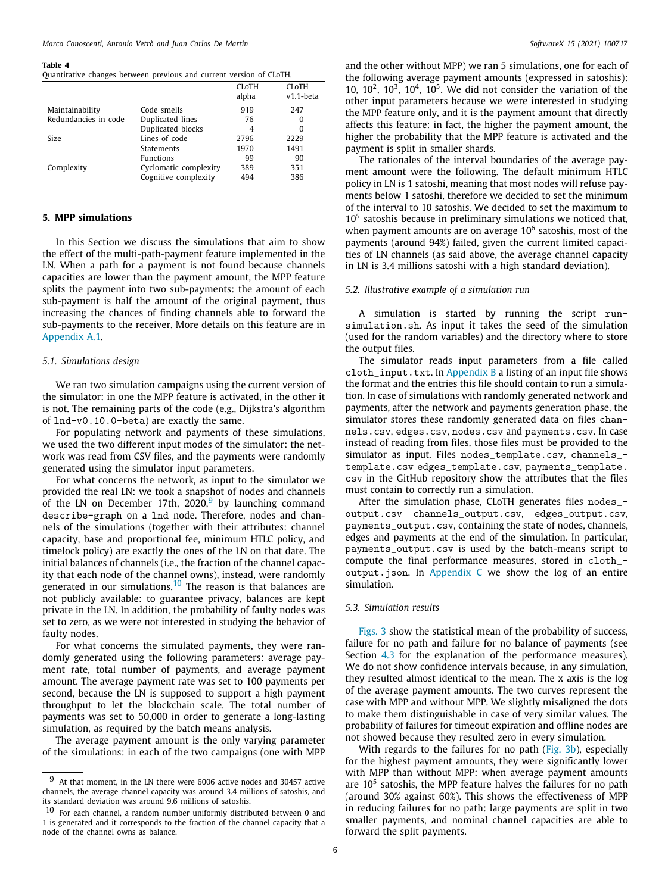#### **Table 4**

<span id="page-5-1"></span>Quantitative changes between previous and current version of CLoTH.

|                      |                       | <b>CLOTH</b><br>alpha | <b>CLOTH</b><br>$v1.1$ -beta |
|----------------------|-----------------------|-----------------------|------------------------------|
| Maintainability      | Code smells           | 919                   | 247                          |
| Redundancies in code | Duplicated lines      | 76                    | 0                            |
|                      | Duplicated blocks     | 4                     | 0                            |
| <b>Size</b>          | Lines of code         | 2796                  | 2229                         |
|                      | <b>Statements</b>     | 1970                  | 1491                         |
|                      | <b>Functions</b>      | 99                    | 90                           |
| Complexity           | Cyclomatic complexity | 389                   | 351                          |
|                      | Cognitive complexity  | 494                   | 386                          |

## **5. MPP simulations**

<span id="page-5-0"></span>In this Section we discuss the simulations that aim to show the effect of the multi-path-payment feature implemented in the LN. When a path for a payment is not found because channels capacities are lower than the payment amount, the MPP feature splits the payment into two sub-payments: the amount of each sub-payment is half the amount of the original payment, thus increasing the chances of finding channels able to forward the sub-payments to the receiver. More details on this feature are in [Appendix](#page-7-0) [A.1](#page-7-0).

### *5.1. Simulations design*

We ran two simulation campaigns using the current version of the simulator: in one the MPP feature is activated, in the other it is not. The remaining parts of the code (e.g., Dijkstra's algorithm of lnd-v0.10.0-beta) are exactly the same.

For populating network and payments of these simulations, we used the two different input modes of the simulator: the network was read from CSV files, and the payments were randomly generated using the simulator input parameters.

For what concerns the network, as input to the simulator we provided the real LN: we took a snapshot of nodes and channels of the LN on December 17th,  $2020$ , by launching command describe-graph on a lnd node. Therefore, nodes and channels of the simulations (together with their attributes: channel capacity, base and proportional fee, minimum HTLC policy, and timelock policy) are exactly the ones of the LN on that date. The initial balances of channels (i.e., the fraction of the channel capacity that each node of the channel owns), instead, were randomly generated in our simulations.<sup>[10](#page-5-3)</sup> The reason is that balances are not publicly available: to guarantee privacy, balances are kept private in the LN. In addition, the probability of faulty nodes was set to zero, as we were not interested in studying the behavior of faulty nodes.

<span id="page-5-3"></span>For what concerns the simulated payments, they were randomly generated using the following parameters: average payment rate, total number of payments, and average payment amount. The average payment rate was set to 100 payments per second, because the LN is supposed to support a high payment throughput to let the blockchain scale. The total number of payments was set to 50,000 in order to generate a long-lasting simulation, as required by the batch means analysis.

The average payment amount is the only varying parameter of the simulations: in each of the two campaigns (one with MPP

and the other without MPP) we ran 5 simulations, one for each of the following average payment amounts (expressed in satoshis): 10,  $10^2$ ,  $10^3$ ,  $10^4$ ,  $10^5$ . We did not consider the variation of the other input parameters because we were interested in studying the MPP feature only, and it is the payment amount that directly affects this feature: in fact, the higher the payment amount, the higher the probability that the MPP feature is activated and the payment is split in smaller shards.

The rationales of the interval boundaries of the average payment amount were the following. The default minimum HTLC policy in LN is 1 satoshi, meaning that most nodes will refuse payments below 1 satoshi, therefore we decided to set the minimum of the interval to 10 satoshis. We decided to set the maximum to  $10<sup>5</sup>$  satoshis because in preliminary simulations we noticed that, when payment amounts are on average  $10^6$  satoshis, most of the payments (around 94%) failed, given the current limited capacities of LN channels (as said above, the average channel capacity in LN is 3.4 millions satoshi with a high standard deviation).

#### *5.2. Illustrative example of a simulation run*

A simulation is started by running the script runsimulation.sh. As input it takes the seed of the simulation (used for the random variables) and the directory where to store the output files.

The simulator reads input parameters from a file called cloth\_input.txt. In [Appendix](#page-8-1) [B](#page-8-1) a listing of an input file shows the format and the entries this file should contain to run a simulation. In case of simulations with randomly generated network and payments, after the network and payments generation phase, the simulator stores these randomly generated data on files channels.csv, edges.csv, nodes.csv and payments.csv. In case instead of reading from files, those files must be provided to the simulator as input. Files nodes\_template.csv, channels\_ template.csv edges\_template.csv, payments\_template. csv in the GitHub repository show the attributes that the files must contain to correctly run a simulation.

<span id="page-5-2"></span>After the simulation phase, CLoTH generates files nodes\_ output.csv channels\_output.csv, edges\_output.csv, payments\_output.csv, containing the state of nodes, channels, edges and payments at the end of the simulation. In particular, payments\_output.csv is used by the batch-means script to compute the final performance measures, stored in cloth\_ output.json. In [Appendix](#page-8-2) [C](#page-8-2) we show the log of an entire simulation.

# *5.3. Simulation results*

[Figs.](#page-6-2) [3](#page-6-2) show the statistical mean of the probability of success, failure for no path and failure for no balance of payments (see Section [4.3](#page-3-0) for the explanation of the performance measures). We do not show confidence intervals because, in any simulation, they resulted almost identical to the mean. The x axis is the log of the average payment amounts. The two curves represent the case with MPP and without MPP. We slightly misaligned the dots to make them distinguishable in case of very similar values. The probability of failures for timeout expiration and offline nodes are not showed because they resulted zero in every simulation.

With regards to the failures for no path [\(Fig.](#page-6-3) [3b](#page-6-3)), especially for the highest payment amounts, they were significantly lower with MPP than without MPP: when average payment amounts are  $10<sup>5</sup>$  satoshis, the MPP feature halves the failures for no path (around 30% against 60%). This shows the effectiveness of MPP in reducing failures for no path: large payments are split in two smaller payments, and nominal channel capacities are able to forward the split payments.

<sup>9</sup> At that moment, in the LN there were 6006 active nodes and 30457 active channels, the average channel capacity was around 3.4 millions of satoshis, and its standard deviation was around 9.6 millions of satoshis.

<sup>10</sup> For each channel, a random number uniformly distributed between 0 and 1 is generated and it corresponds to the fraction of the channel capacity that a node of the channel owns as balance.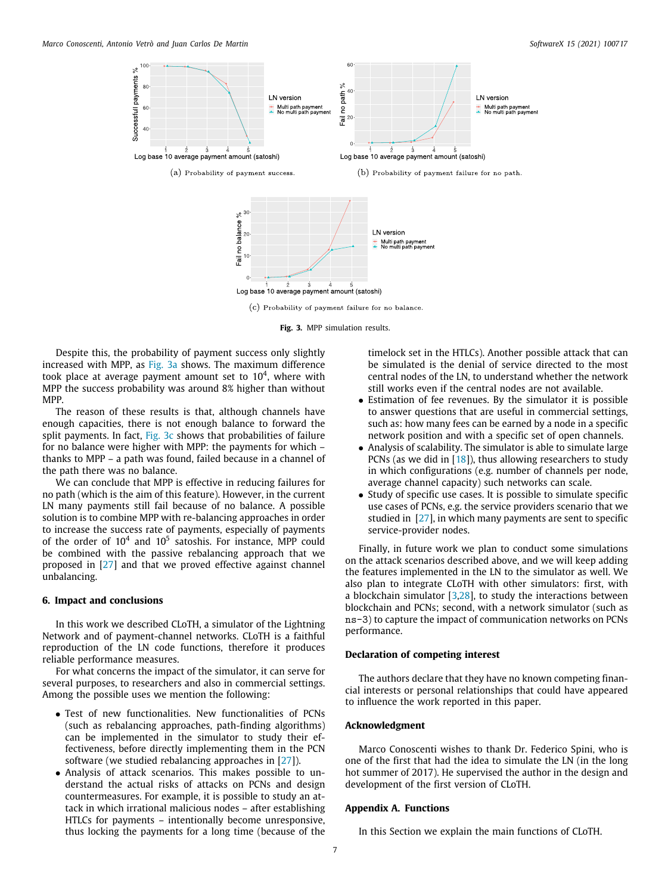<span id="page-6-4"></span>



<span id="page-6-2"></span>Despite this, the probability of payment success only slightly increased with MPP, as [Fig.](#page-6-4) [3a](#page-6-4) shows. The maximum difference took place at average payment amount set to  $10^4$ , where with MPP the success probability was around 8% higher than without MPP.

The reason of these results is that, although channels have enough capacities, there is not enough balance to forward the split payments. In fact, [Fig.](#page-6-3) [3c](#page-6-3) shows that probabilities of failure for no balance were higher with MPP: the payments for which – thanks to MPP – a path was found, failed because in a channel of the path there was no balance.

We can conclude that MPP is effective in reducing failures for no path (which is the aim of this feature). However, in the current LN many payments still fail because of no balance. A possible solution is to combine MPP with re-balancing approaches in order to increase the success rate of payments, especially of payments of the order of  $10^4$  and  $10^5$  satoshis. For instance, MPP could be combined with the passive rebalancing approach that we proposed in [\[27\]](#page-9-16) and that we proved effective against channel unbalancing.

#### **6. Impact and conclusions**

<span id="page-6-0"></span>In this work we described CLoTH, a simulator of the Lightning Network and of payment-channel networks. CLoTH is a faithful reproduction of the LN code functions, therefore it produces reliable performance measures.

For what concerns the impact of the simulator, it can serve for several purposes, to researchers and also in commercial settings. Among the possible uses we mention the following:

- Test of new functionalities. New functionalities of PCNs (such as rebalancing approaches, path-finding algorithms) can be implemented in the simulator to study their effectiveness, before directly implementing them in the PCN software (we studied rebalancing approaches in [[27](#page-9-16)]).
- Analysis of attack scenarios. This makes possible to understand the actual risks of attacks on PCNs and design countermeasures. For example, it is possible to study an attack in which irrational malicious nodes – after establishing HTLCs for payments – intentionally become unresponsive, thus locking the payments for a long time (because of the

<span id="page-6-3"></span>timelock set in the HTLCs). Another possible attack that can be simulated is the denial of service directed to the most central nodes of the LN, to understand whether the network still works even if the central nodes are not available.

- Estimation of fee revenues. By the simulator it is possible to answer questions that are useful in commercial settings, such as: how many fees can be earned by a node in a specific network position and with a specific set of open channels.
- Analysis of scalability. The simulator is able to simulate large PCNs (as we did in [\[18](#page-9-6)]), thus allowing researchers to study in which configurations (e.g. number of channels per node, average channel capacity) such networks can scale.
- Study of specific use cases. It is possible to simulate specific use cases of PCNs, e.g. the service providers scenario that we studied in [[27\]](#page-9-16), in which many payments are sent to specific service-provider nodes.

Finally, in future work we plan to conduct some simulations on the attack scenarios described above, and we will keep adding the features implemented in the LN to the simulator as well. We also plan to integrate CLoTH with other simulators: first, with a blockchain simulator [\[3,](#page-9-0)[28](#page-9-17)], to study the interactions between blockchain and PCNs; second, with a network simulator (such as ns-3) to capture the impact of communication networks on PCNs performance.

#### **Declaration of competing interest**

The authors declare that they have no known competing financial interests or personal relationships that could have appeared to influence the work reported in this paper.

# **Acknowledgment**

Marco Conoscenti wishes to thank Dr. Federico Spini, who is one of the first that had the idea to simulate the LN (in the long hot summer of 2017). He supervised the author in the design and development of the first version of CLoTH.

#### **Appendix A. Functions**

<span id="page-6-1"></span>In this Section we explain the main functions of CLoTH.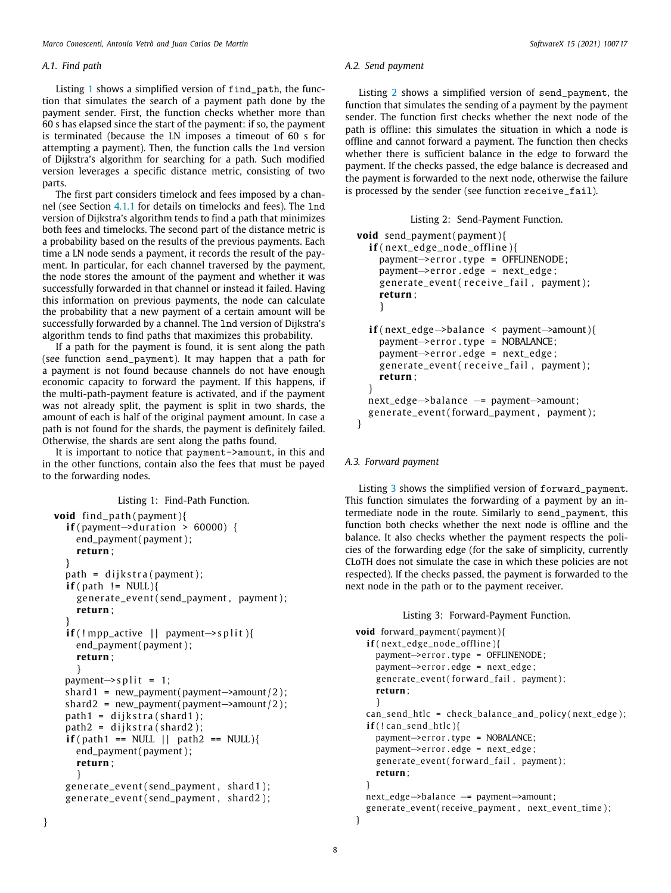## *A.1. Find path*

<span id="page-7-0"></span>Listing [1](#page-7-1) shows a simplified version of find\_path, the function that simulates the search of a payment path done by the payment sender. First, the function checks whether more than 60 s has elapsed since the start of the payment: if so, the payment is terminated (because the LN imposes a timeout of 60 s for attempting a payment). Then, the function calls the lnd version of Dijkstra's algorithm for searching for a path. Such modified version leverages a specific distance metric, consisting of two parts.

The first part considers timelock and fees imposed by a channel (see Section [4.1.1](#page-2-5) for details on timelocks and fees). The lnd version of Dijkstra's algorithm tends to find a path that minimizes both fees and timelocks. The second part of the distance metric is a probability based on the results of the previous payments. Each time a LN node sends a payment, it records the result of the payment. In particular, for each channel traversed by the payment, the node stores the amount of the payment and whether it was successfully forwarded in that channel or instead it failed. Having this information on previous payments, the node can calculate the probability that a new payment of a certain amount will be successfully forwarded by a channel. The lnd version of Dijkstra's algorithm tends to find paths that maximizes this probability.

If a path for the payment is found, it is sent along the path (see function send\_payment). It may happen that a path for a payment is not found because channels do not have enough economic capacity to forward the payment. If this happens, if the multi-path-payment feature is activated, and if the payment was not already split, the payment is split in two shards, the amount of each is half of the original payment amount. In case a path is not found for the shards, the payment is definitely failed. Otherwise, the shards are sent along the paths found.

It is important to notice that payment->amount, in this and in the other functions, contain also the fees that must be payed to the forwarding nodes.

```
Listing 1: Find-Path Function.
void find_path(payment){
  if ( payment –> duration > 60000) {
    end_payment ( payment ) ;
    return ;
  }
  path = dijkstra(payment);
  if ( path != NULL ) {
    generate_event ( send_payment , payment ) ;
     return ;
  }
  \textbf{if} (! mpp_active || payment–>split ){
    end_payment (payment);
    return ;
     }
  payment\rightarrows p l i t = 1;
  shard1 = new_payment( payment–>amount (2);
  shard2 = new_payment(payment->amount/2);
  path1 = dijkstra(shard1);path2 = dijkstra(shard2);\textbf{if} (\text{path1} == \text{NULL} || \text{path2} == \text{NULL})end_payment ( payment ) ;
    return ;
     }
  generate_event ( send_payment , shard1 ) ;
  generate_event ( send_payment , shard2 ) ;
```
#### *A.2. Send payment*

Listing [2](#page-7-2) shows a simplified version of send\_payment, the function that simulates the sending of a payment by the payment sender. The function first checks whether the next node of the path is offline: this simulates the situation in which a node is offline and cannot forward a payment. The function then checks whether there is sufficient balance in the edge to forward the payment. If the checks passed, the edge balance is decreased and the payment is forwarded to the next node, otherwise the failure is processed by the sender (see function receive\_fail).

Listing 2: Send-Payment Function.

```
void send_payment ( payment ) {
  if ( next_edge_node_offline ) {
    payment->error.type = OFFLINENODE:
    payment–>error edge = next edge ;
    generate\_event ( receive\_fail, payment);return ;
    }
  i f ( next_edge−>balance < payment−>amount ) {
    payment->error.type = NOBALANCE;
    payment->error.edge = next_edge;
    generate_event (receive_fail, payment);
    return ;
  }
  next_edge→balance –= payment→amount;
  generate_event ( forward_payment , payment ) ;
}
```
## *A.3. Forward payment*

Listing [3](#page-7-3) shows the simplified version of forward\_payment. This function simulates the forwarding of a payment by an intermediate node in the route. Similarly to send\_payment, this function both checks whether the next node is offline and the balance. It also checks whether the payment respects the policies of the forwarding edge (for the sake of simplicity, currently CLoTH does not simulate the case in which these policies are not respected). If the checks passed, the payment is forwarded to the next node in the path or to the payment receiver.

Listing 3: Forward-Payment Function.

```
void forward_payment ( payment ) {
  if(next_edge_node_offline){
    payment→error.type = OFFLINENODE;
    payment->error.edge = next_edge;
    generate_event (forward_fail, payment);
    return ;
    }
  can_send_htlc = check_balance_and_policy (next_edge);
  i f ( ! can_send_htlc ) {
    payment->error.type = NOBALANCE;
    payment→error.edge = next_edge;
    generate_event (forward_fail, payment);
    return ;
  }
  next_edge−>balance −= payment−>amount ;
  generate_event(receive_payment, next_event_time);
}
```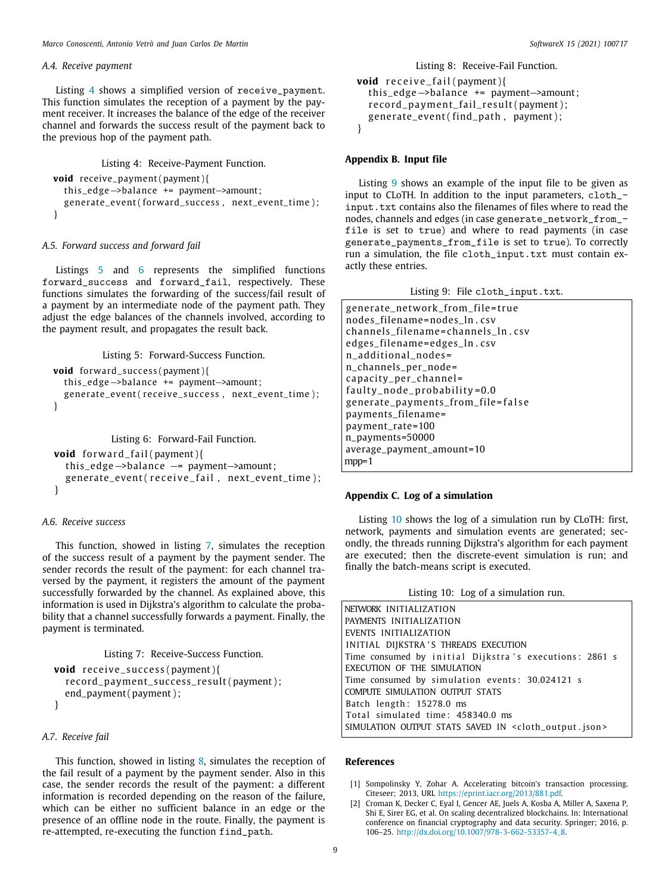*Marco Conoscenti, Antonio Vetrò and Juan Carlos De Martin SoftwareX 15 (2021) 100717*

#### *A.4. Receive payment*

Listing [4](#page-8-3) shows a simplified version of receive\_payment. This function simulates the reception of a payment by the payment receiver. It increases the balance of the edge of the receiver channel and forwards the success result of the payment back to the previous hop of the payment path.

Listing 4: Receive-Payment Function.

```
void receive_payment ( payment ) {
  th is_edge−>balance += payment−>amount ;
  generate_event(forward_success, next_event_time);
}
```
# *A.5. Forward success and forward fail*

Listings [5](#page-8-4) and [6](#page-8-5) represents the simplified functions forward\_success and forward\_fail, respectively. These functions simulates the forwarding of the success/fail result of a payment by an intermediate node of the payment path. They adjust the edge balances of the channels involved, according to the payment result, and propagates the result back.

Listing 5: Forward-Success Function.

```
void forward_success ( payment ) {
  th is_edge−>balance += payment−>amount ;
  generate_event(receive_success, next_event_time);
}
```
Listing 6: Forward-Fail Function.

```
void forward_fail(payment){
  th is_edge−>balance −= payment−>amount ;
  generate_event(receive_fail, next_event_time);
}
```
# *A.6. Receive success*

This function, showed in listing [7,](#page-8-6) simulates the reception of the success result of a payment by the payment sender. The sender records the result of the payment: for each channel traversed by the payment, it registers the amount of the payment successfully forwarded by the channel. As explained above, this information is used in Dijkstra's algorithm to calculate the probability that a channel successfully forwards a payment. Finally, the payment is terminated.

Listing 7: Receive-Success Function.

```
void receive_success (payment) {
  record_payment_success_result ( payment ) ;
  end_payment ( payment ) ;
}
```
# *A.7. Receive fail*

This function, showed in listing [8](#page-8-7), simulates the reception of the fail result of a payment by the payment sender. Also in this case, the sender records the result of the payment: a different information is recorded depending on the reason of the failure, which can be either no sufficient balance in an edge or the presence of an offline node in the route. Finally, the payment is re-attempted, re-executing the function find\_path.

### Listing 8: Receive-Fail Function.

```
void receive_fail(payment){
  this_edge→balance += payment→amount ;
  record payment fail result ( payment ) :
  generate\_event (find\_path, payment);
}
```
#### **Appendix B. Input file**

<span id="page-8-1"></span>Listing [9](#page-8-8) shows an example of the input file to be given as input to CLoTH. In addition to the input parameters, cloth\_ input.txt contains also the filenames of files where to read the nodes, channels and edges (in case generate\_network\_from\_ file is set to true) and where to read payments (in case generate\_payments\_from\_file is set to true). To correctly run a simulation, the file cloth\_input.txt must contain exactly these entries.

| Listing 9: File cloth_input.txt. |  |  |  |  |
|----------------------------------|--|--|--|--|
|----------------------------------|--|--|--|--|

<span id="page-8-8"></span>generate\_network\_from\_file=true nodes\_f ilename=nodes\_ln . csv channels\_filename=channels\_ln.csv edges\_f ilename= edges\_ln . csv n\_additional\_nodes= n\_channels\_per\_node= capacity\_per\_channel=  $fault y-node_probability=0.0$ generate\_payments\_ from\_ f ile = f al s e payments\_filename= payment\_rate=100 n\_payments=50000 average\_payment\_amount=10 mpp=1

#### **Appendix C. Log of a simulation**

<span id="page-8-2"></span>Listing [10](#page-8-9) shows the log of a simulation run by CLoTH: first, network, payments and simulation events are generated; secondly, the threads running Dijkstra's algorithm for each payment are executed; then the discrete-event simulation is run; and finally the batch-means script is executed.

| Listing 10: Log of a simulation run. |  |  |  |  |  |
|--------------------------------------|--|--|--|--|--|
|--------------------------------------|--|--|--|--|--|

<span id="page-8-9"></span>NETWORK INITIALIZATION PAYMENTS INITIALIZATION EVENTS INITIALIZATION INITIAL DIJKSTRA'S THREADS EXECUTION Time consumed by initial Dijkstra's executions: 2861 s EXECUTION OF THE SIMULATION Time consumed by simulation events: 30.024121 s COMPUTE SIMULATION OUTPUT STATS Batch length : 15278.0 ms Total simulated time: 458340.0 ms SIMULATION OUTPUT STATS SAVED IN <cloth\_output.json>

#### **References**

- <span id="page-8-0"></span>[1] Sompolinsky Y, Zohar A. Accelerating bitcoin's transaction processing. Citeseer; 2013, URL <https://eprint.iacr.org/2013/881.pdf>.
- Croman K, Decker C, Eyal I, Gencer AE, Juels A, Kosba A, Miller A, Saxena P, Shi E, Sirer EG, et al. On scaling decentralized blockchains. In: International conference on financial cryptography and data security. Springer; 2016, p. 106–25. [http://dx.doi.org/10.1007/978-3-662-53357-4\\_8.](http://dx.doi.org/10.1007/978-3-662-53357-4_8)